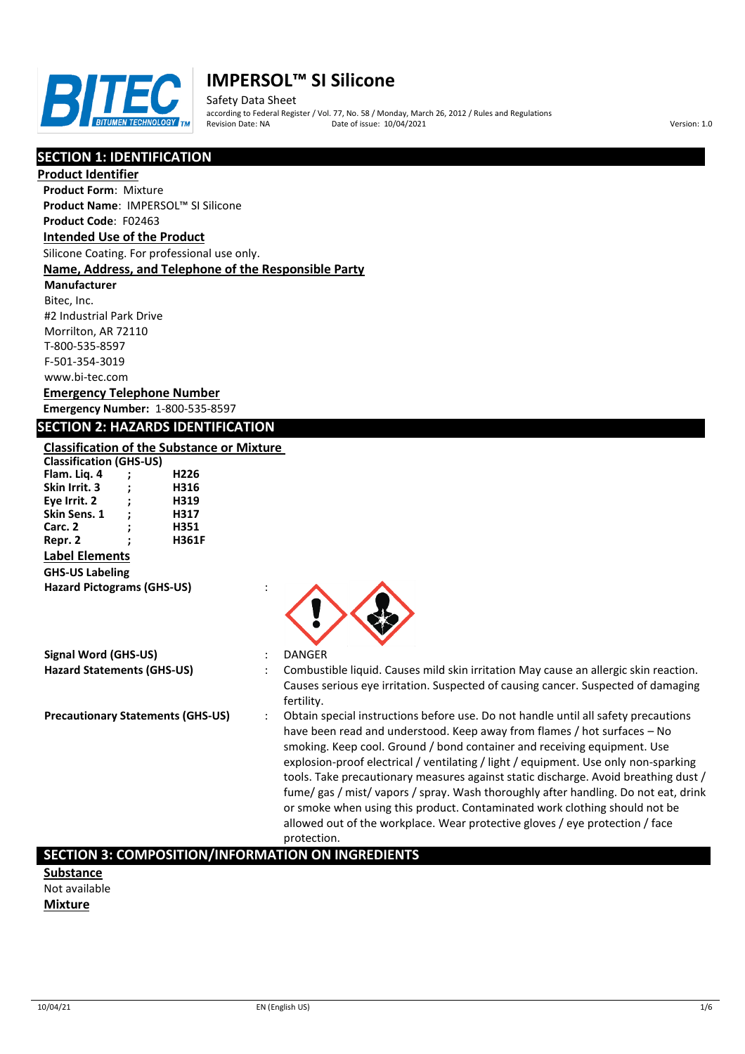

Safety Data Sheet according to Federal Register / Vol. 77, No. 58 / Monday, March 26, 2012 / Rules and Regulations Pate of issue: 10/04/2021 **Version: 1.0** 

# **SECTION 1: IDENTIFICATION**

**Product Identifier**

**Product Form**: Mixture **Product Name**: IMPERSOL™ SI Silicone

#### **Product Code**: F02463 **Intended Use of the Product**

Silicone Coating. For professional use only.

## **Name, Address, and Telephone of the Responsible Party**

**Manufacturer** Bitec, Inc. #2 Industrial Park Drive Morrilton, AR 72110 T-800-535-8597 F-501-354-3019 www.bi-tec.com

# **Emergency Telephone Number**

**Emergency Number:** 1-800-535-8597

## **SECTION 2: HAZARDS IDENTIFICATION**

# **Classification of the Substance or Mixture**

| <b>Classification (GHS-US)</b>    |                      |              |  |
|-----------------------------------|----------------------|--------------|--|
| Flam. Lig. 4                      | :                    | H226         |  |
| Skin Irrit. 3                     | :                    | H316         |  |
| Eye Irrit. 2                      | $\ddot{\phantom{0}}$ | H319         |  |
| Skin Sens. 1                      | ÷                    | H317         |  |
| Carc. 2                           | ;                    | H351         |  |
| Repr. 2                           | :                    | <b>H361F</b> |  |
| <b>Label Elements</b>             |                      |              |  |
| <b>GHS-US Labeling</b>            |                      |              |  |
| <b>Hazard Pictograms (GHS-US)</b> |                      |              |  |



## **Signal Word (GHS-US)** : DANGER

- **Hazard Statements (GHS-US)** : Combustible liquid. Causes mild skin irritation May cause an allergic skin reaction. Causes serious eye irritation. Suspected of causing cancer. Suspected of damaging fertility.
- **Precautionary Statements (GHS-US)** : Obtain special instructions before use. Do not handle until all safety precautions have been read and understood. Keep away from flames / hot surfaces – No smoking. Keep cool. Ground / bond container and receiving equipment. Use explosion-proof electrical / ventilating / light / equipment. Use only non-sparking tools. Take precautionary measures against static discharge. Avoid breathing dust / fume/ gas / mist/ vapors / spray. Wash thoroughly after handling. Do not eat, drink or smoke when using this product. Contaminated work clothing should not be allowed out of the workplace. Wear protective gloves / eye protection / face protection.

# **SECTION 3: COMPOSITION/INFORMATION ON INGREDIENTS**

**Substance** Not available **Mixture**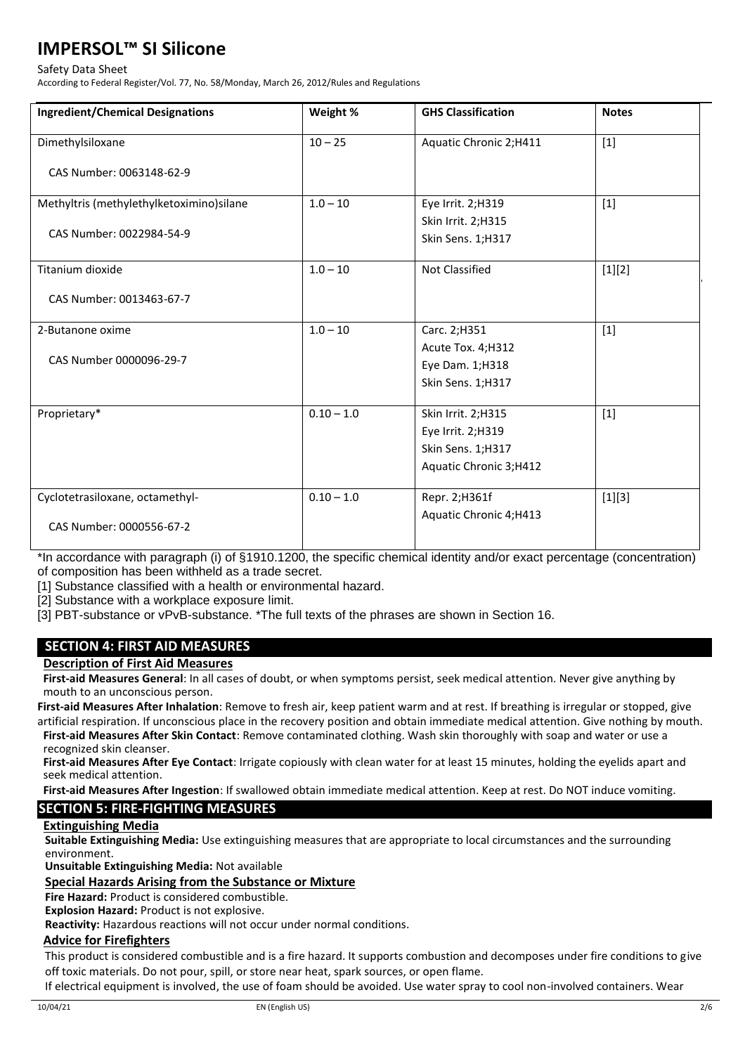#### Safety Data Sheet

According to Federal Register/Vol. 77, No. 58/Monday, March 26, 2012/Rules and Regulations

| <b>Ingredient/Chemical Designations</b>  | Weight %     | <b>GHS Classification</b> | <b>Notes</b> |
|------------------------------------------|--------------|---------------------------|--------------|
| Dimethylsiloxane                         | $10 - 25$    | Aquatic Chronic 2;H411    | $[1]$        |
| CAS Number: 0063148-62-9                 |              |                           |              |
| Methyltris (methylethylketoximino)silane | $1.0 - 10$   | Eye Irrit. 2;H319         | $[1]$        |
|                                          |              | Skin Irrit. 2;H315        |              |
| CAS Number: 0022984-54-9                 |              | Skin Sens. 1;H317         |              |
| Titanium dioxide                         | $1.0 - 10$   | Not Classified            | [1][2]       |
| CAS Number: 0013463-67-7                 |              |                           |              |
| 2-Butanone oxime                         | $1.0 - 10$   | Carc. 2;H351              | $[1]$        |
|                                          |              | Acute Tox. 4;H312         |              |
| CAS Number 0000096-29-7                  |              | Eye Dam. 1;H318           |              |
|                                          |              | Skin Sens. 1;H317         |              |
| Proprietary*                             | $0.10 - 1.0$ | Skin Irrit. 2;H315        | $[1]$        |
|                                          |              | Eye Irrit. 2;H319         |              |
|                                          |              | Skin Sens. 1;H317         |              |
|                                          |              | Aquatic Chronic 3;H412    |              |
| Cyclotetrasiloxane, octamethyl-          | $0.10 - 1.0$ | Repr. 2; H361f            | $[1][3]$     |
| CAS Number: 0000556-67-2                 |              | Aquatic Chronic 4;H413    |              |

\*In accordance with paragraph (i) of §1910.1200, the specific chemical identity and/or exact percentage (concentration) of composition has been withheld as a trade secret.

[1] Substance classified with a health or environmental hazard.

[2] Substance with a workplace exposure limit.

[3] PBT-substance or vPvB-substance. \*The full texts of the phrases are shown in Section 16.

# **SECTION 4: FIRST AID MEASURES**

**Description of First Aid Measures**

**First-aid Measures General**: In all cases of doubt, or when symptoms persist, seek medical attention. Never give anything by mouth to an unconscious person.

**First-aid Measures After Inhalation**: Remove to fresh air, keep patient warm and at rest. If breathing is irregular or stopped, give artificial respiration. If unconscious place in the recovery position and obtain immediate medical attention. Give nothing by mouth.

**First-aid Measures After Skin Contact**: Remove contaminated clothing. Wash skin thoroughly with soap and water or use a recognized skin cleanser.

**First-aid Measures After Eye Contact**: Irrigate copiously with clean water for at least 15 minutes, holding the eyelids apart and seek medical attention.

**First-aid Measures After Ingestion**: If swallowed obtain immediate medical attention. Keep at rest. Do NOT induce vomiting.

# **SECTION 5: FIRE-FIGHTING MEASURES**

## **Extinguishing Media**

**Suitable Extinguishing Media:** Use extinguishing measures that are appropriate to local circumstances and the surrounding environment.

**Unsuitable Extinguishing Media:** Not available

## **Special Hazards Arising from the Substance or Mixture**

**Fire Hazard:** Product is considered combustible.

**Explosion Hazard:** Product is not explosive.

**Reactivity:** Hazardous reactions will not occur under normal conditions.

## **Advice for Firefighters**

This product is considered combustible and is a fire hazard. It supports combustion and decomposes under fire conditions to give off toxic materials. Do not pour, spill, or store near heat, spark sources, or open flame.

If electrical equipment is involved, the use of foam should be avoided. Use water spray to cool non-involved containers. Wear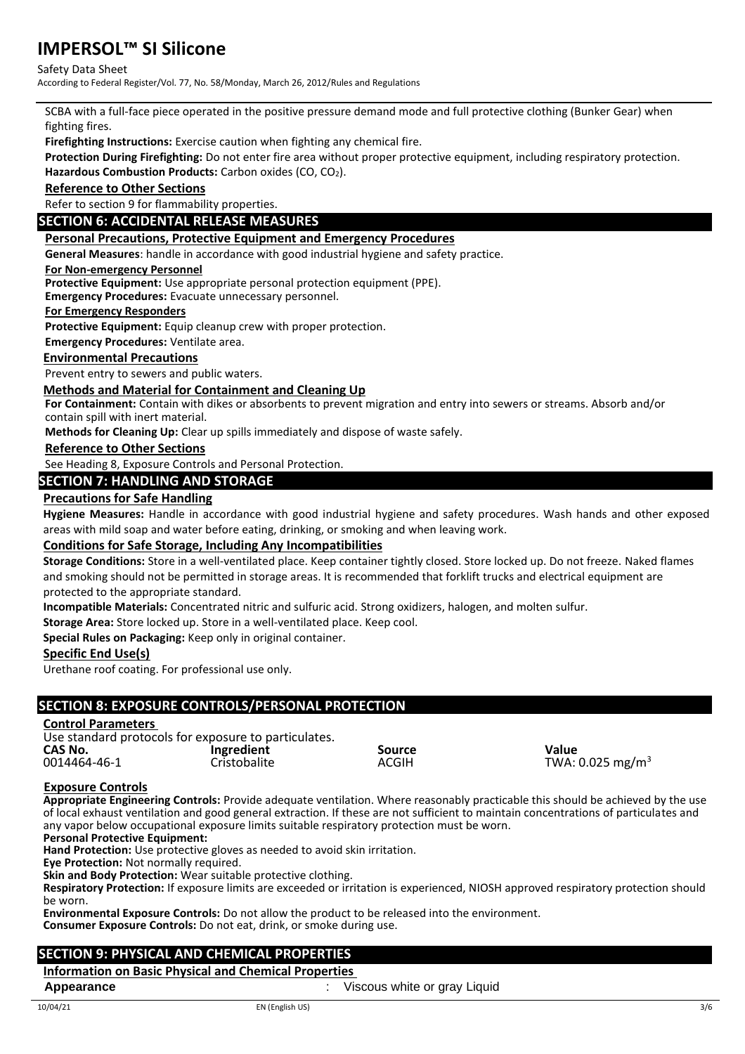## Safety Data Sheet

According to Federal Register/Vol. 77, No. 58/Monday, March 26, 2012/Rules and Regulations

SCBA with a full-face piece operated in the positive pressure demand mode and full protective clothing (Bunker Gear) when fighting fires.

**Firefighting Instructions:** Exercise caution when fighting any chemical fire.

**Protection During Firefighting:** Do not enter fire area without proper protective equipment, including respiratory protection. Hazardous Combustion Products: Carbon oxides (CO, CO<sub>2</sub>).

**Reference to Other Sections**

Refer to section 9 for flammability properties.

# **SECTION 6: ACCIDENTAL RELEASE MEASURES**

## **Personal Precautions, Protective Equipment and Emergency Procedures**

**General Measures**: handle in accordance with good industrial hygiene and safety practice.

#### **For Non-emergency Personnel**

**Protective Equipment:** Use appropriate personal protection equipment (PPE).

**Emergency Procedures:** Evacuate unnecessary personnel.

#### **For Emergency Responders**

**Protective Equipment:** Equip cleanup crew with proper protection.

**Emergency Procedures:** Ventilate area.

## **Environmental Precautions**

Prevent entry to sewers and public waters.

## **Methods and Material for Containment and Cleaning Up**

**For Containment:** Contain with dikes or absorbents to prevent migration and entry into sewers or streams. Absorb and/or contain spill with inert material.

**Methods for Cleaning Up:** Clear up spills immediately and dispose of waste safely.

## **Reference to Other Sections**

See Heading 8, Exposure Controls and Personal Protection.

## **SECTION 7: HANDLING AND STORAGE**

## **Precautions for Safe Handling**

**Hygiene Measures:** Handle in accordance with good industrial hygiene and safety procedures. Wash hands and other exposed areas with mild soap and water before eating, drinking, or smoking and when leaving work.

## **Conditions for Safe Storage, Including Any Incompatibilities**

**Storage Conditions:** Store in a well-ventilated place. Keep container tightly closed. Store locked up. Do not freeze. Naked flames and smoking should not be permitted in storage areas. It is recommended that forklift trucks and electrical equipment are protected to the appropriate standard.

**Incompatible Materials:** Concentrated nitric and sulfuric acid. Strong oxidizers, halogen, and molten sulfur.

**Storage Area:** Store locked up. Store in a well-ventilated place. Keep cool.

**Special Rules on Packaging:** Keep only in original container.

## **Specific End Use(s)**

Urethane roof coating. For professional use only.

# **SECTION 8: EXPOSURE CONTROLS/PERSONAL PROTECTION**

## **Control Parameters**

Use standard protocols for exposure to particulates.<br>CAS No. [Ingredient

**CAS No. Ingredient Source Value**

0014464-46-1 Cristobalite ACGIH  $C$ For  $C$  and  $C$  and  $C$  and  $C$  and  $C$  and  $C$  and  $C$  and  $C$  and  $C$  and  $C$  and  $C$  and  $C$  and  $C$  and  $C$  and  $C$  and  $C$  and  $C$  and  $C$  and  $C$  and  $C$  and  $C$  and  $C$  and  $C$  an

#### **Exposure Controls**

**Appropriate Engineering Controls:** Provide adequate ventilation. Where reasonably practicable this should be achieved by the use of local exhaust ventilation and good general extraction. If these are not sufficient to maintain concentrations of particulates and any vapor below occupational exposure limits suitable respiratory protection must be worn.

#### **Personal Protective Equipment:**

**Hand Protection:** Use protective gloves as needed to avoid skin irritation.

**Eye Protection:** Not normally required.

**Skin and Body Protection:** Wear suitable protective clothing.

**Respiratory Protection:** If exposure limits are exceeded or irritation is experienced, NIOSH approved respiratory protection should be worn.

**Environmental Exposure Controls:** Do not allow the product to be released into the environment. **Consumer Exposure Controls:** Do not eat, drink, or smoke during use.

# **SECTION 9: PHYSICAL AND CHEMICAL PROPERTIES**

## **Information on Basic Physical and Chemical Properties**

**Appearance** *CON* **CON CON CON CON CON CON CON CON CON CON CON CON CON CON CON CON CON CON CON CON CON CON CON CON CON CON CON CON CON CON CON CON CON CO**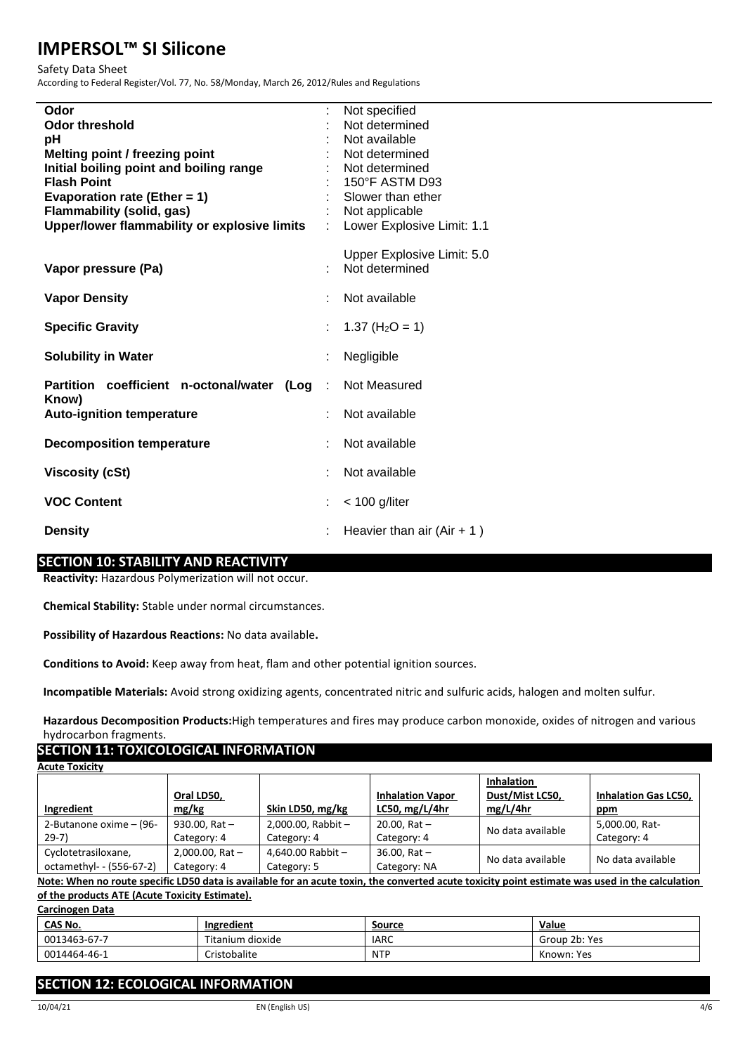#### Safety Data Sheet

According to Federal Register/Vol. 77, No. 58/Monday, March 26, 2012/Rules and Regulations

| Odor<br><b>Odor threshold</b><br>pН<br>Melting point / freezing point<br>Initial boiling point and boiling range<br><b>Flash Point</b><br>Evaporation rate (Ether = 1)<br><b>Flammability (solid, gas)</b><br>Upper/lower flammability or explosive limits | t. | Not specified<br>Not determined<br>Not available<br>Not determined<br>Not determined<br>150°F ASTM D93<br>Slower than ether<br>Not applicable<br>Lower Explosive Limit: 1.1 |
|------------------------------------------------------------------------------------------------------------------------------------------------------------------------------------------------------------------------------------------------------------|----|-----------------------------------------------------------------------------------------------------------------------------------------------------------------------------|
| Vapor pressure (Pa)                                                                                                                                                                                                                                        |    | Upper Explosive Limit: 5.0<br>Not determined                                                                                                                                |
| <b>Vapor Density</b>                                                                                                                                                                                                                                       |    | Not available                                                                                                                                                               |
| <b>Specific Gravity</b>                                                                                                                                                                                                                                    | t  | 1.37 ( $H_2O = 1$ )                                                                                                                                                         |
| <b>Solubility in Water</b>                                                                                                                                                                                                                                 |    | Negligible                                                                                                                                                                  |
| Partition coefficient n-octonal/water<br>(Log                                                                                                                                                                                                              | ÷  | Not Measured                                                                                                                                                                |
| Know)<br><b>Auto-ignition temperature</b>                                                                                                                                                                                                                  |    | Not available                                                                                                                                                               |
| <b>Decomposition temperature</b>                                                                                                                                                                                                                           |    | Not available                                                                                                                                                               |
| <b>Viscosity (cSt)</b>                                                                                                                                                                                                                                     |    | Not available                                                                                                                                                               |
| <b>VOC Content</b>                                                                                                                                                                                                                                         |    | $<$ 100 g/liter                                                                                                                                                             |
| <b>Density</b>                                                                                                                                                                                                                                             |    | Heavier than air $(Air + 1)$                                                                                                                                                |

# **SECTION 10: STABILITY AND REACTIVITY**

**Reactivity:** Hazardous Polymerization will not occur.

**Chemical Stability:** Stable under normal circumstances.

**Possibility of Hazardous Reactions:** No data available**.**

**Conditions to Avoid:** Keep away from heat, flam and other potential ignition sources.

**Incompatible Materials:** Avoid strong oxidizing agents, concentrated nitric and sulfuric acids, halogen and molten sulfur.

**Hazardous Decomposition Products:**High temperatures and fires may produce carbon monoxide, oxides of nitrogen and various hydrocarbon fragments.

# **SECTION 11: TOXICOLOGICAL INFORMATION**

| <b>Acute Toxicity</b>    |                      |                      |                         |                   |                             |
|--------------------------|----------------------|----------------------|-------------------------|-------------------|-----------------------------|
|                          |                      |                      |                         | <b>Inhalation</b> |                             |
|                          | Oral LD50,           |                      | <b>Inhalation Vapor</b> | Dust/Mist LC50,   | <b>Inhalation Gas LC50.</b> |
| Ingredient               | mg/kg                | Skin LD50, mg/kg     | LC50, $mg/L/4hr$        | mg/L/4hr          | ppm                         |
| 2-Butanone oxime - (96-  | 930.00, Rat $-$      | 2,000.00, Rabbit $-$ | $20.00$ , Rat $-$       | No data available | 5,000.00, Rat-              |
| $29-7)$                  | Category: 4          | Category: 4          | Category: 4             |                   | Category: 4                 |
| Cyclotetrasiloxane,      | $2,000.00$ , Rat $-$ | 4,640.00 Rabbit $-$  | $36.00$ , Rat $-$       | No data available | No data available           |
| octamethyl- - (556-67-2) | Category: 4          | Category: 5          | Category: NA            |                   |                             |

**Note: When no route specific LD50 data is available for an acute toxin, the converted acute toxicity point estimate was used in the calculation of the products ATE (Acute Toxicity Estimate).**

**Carcinogen Data**

| <u>CAS No.</u> | Ingredient       | Source     | Value         |
|----------------|------------------|------------|---------------|
| 0013463-67-7   | Titanium dioxide | IARC       | Group 2b: Yes |
| 0014464-46-1   | Cristobalite     | <b>NTP</b> | Known: Yes    |

# **SECTION 12: ECOLOGICAL INFORMATION**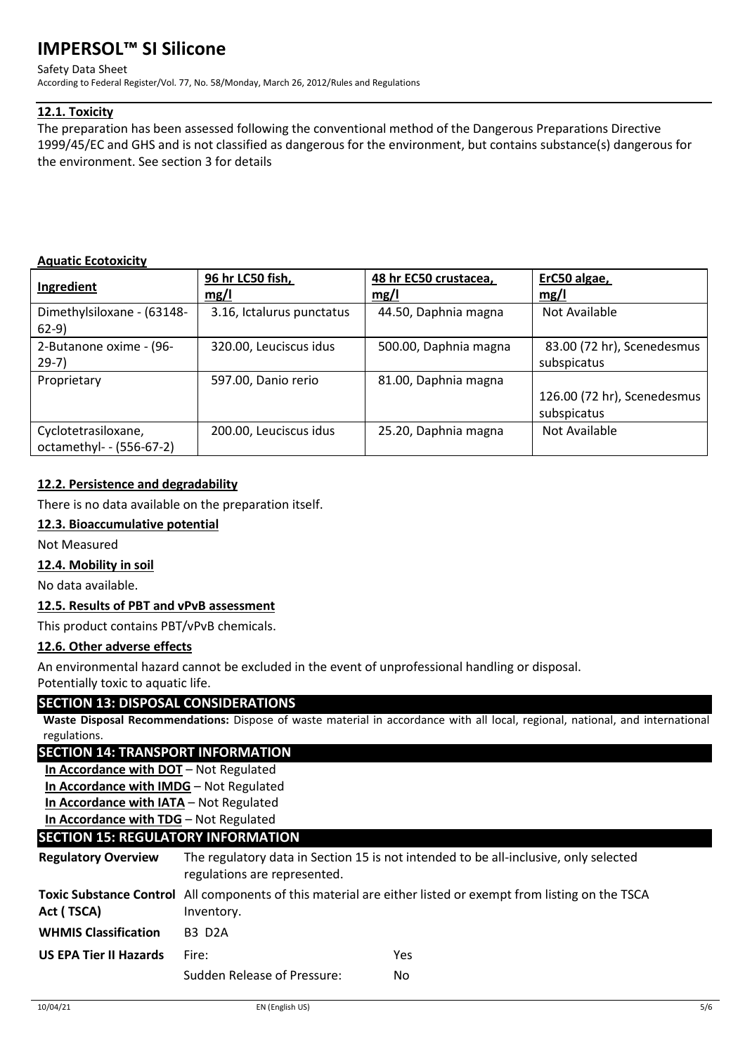#### Safety Data Sheet

According to Federal Register/Vol. 77, No. 58/Monday, March 26, 2012/Rules and Regulations

# **12.1. Toxicity**

The preparation has been assessed following the conventional method of the Dangerous Preparations Directive 1999/45/EC and GHS and is not classified as dangerous for the environment, but contains substance(s) dangerous for the environment. See section 3 for details

# **Aquatic Ecotoxicity**

| Ingredient                                      | 96 hr LC50 fish,<br>mg/l  | 48 hr EC50 crustacea,<br>mg/l | ErC50 algae,<br>mg/l                       |
|-------------------------------------------------|---------------------------|-------------------------------|--------------------------------------------|
| Dimethylsiloxane - (63148-<br>$62-9)$           | 3.16, Ictalurus punctatus | 44.50, Daphnia magna          | Not Available                              |
| 2-Butanone oxime - (96-<br>$29-7)$              | 320.00, Leuciscus idus    | 500.00, Daphnia magna         | 83.00 (72 hr), Scenedesmus<br>subspicatus  |
| Proprietary                                     | 597.00, Danio rerio       | 81.00, Daphnia magna          | 126.00 (72 hr), Scenedesmus<br>subspicatus |
| Cyclotetrasiloxane,<br>octamethyl- - (556-67-2) | 200.00, Leuciscus idus    | 25.20, Daphnia magna          | Not Available                              |

# **12.2. Persistence and degradability**

There is no data available on the preparation itself.

# **12.3. Bioaccumulative potential**

Not Measured

# **12.4. Mobility in soil**

No data available.

# **12.5. Results of PBT and vPvB assessment**

This product contains PBT/vPvB chemicals.

# **12.6. Other adverse effects**

An environmental hazard cannot be excluded in the event of unprofessional handling or disposal. Potentially toxic to aquatic life.

# **SECTION 13: DISPOSAL CONSIDERATIONS**

**Waste Disposal Recommendations:** Dispose of waste material in accordance with all local, regional, national, and international regulations.

# **SECTION 14: TRANSPORT INFORMATION**

**In Accordance with DOT** – Not Regulated

**In Accordance with IMDG** – Not Regulated

**In Accordance with IATA** – Not Regulated

**In Accordance with TDG** – Not Regulated

# **SECTION 15: REGULATORY INFORMATION**

| <b>Regulatory Overview</b>    | The regulatory data in Section 15 is not intended to be all-inclusive, only selected<br>regulations are represented.       |     |  |
|-------------------------------|----------------------------------------------------------------------------------------------------------------------------|-----|--|
| Act (TSCA)                    | Toxic Substance Control All components of this material are either listed or exempt from listing on the TSCA<br>Inventory. |     |  |
| <b>WHMIS Classification</b>   | <b>B3 D2A</b>                                                                                                              |     |  |
| <b>US EPA Tier II Hazards</b> | Fire:                                                                                                                      | Yes |  |
|                               | Sudden Release of Pressure:                                                                                                | No. |  |